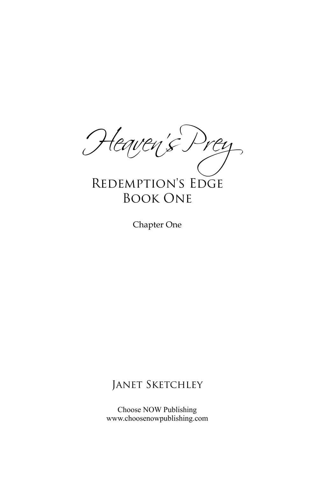*Heaven's Prey* Redemption's Edge

## Book One

Chapter One

## JANET SKETCHLEY

Choose NOW Publishing www.choosenowpublishing.com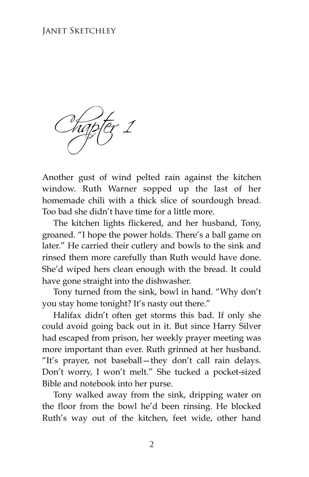## Janet Sketchley

*Chapter 1*

Another gust of wind pelted rain against the kitchen window. Ruth Warner sopped up the last of her homemade chili with a thick slice of sourdough bread. Too bad she didn't have time for a little more.

The kitchen lights flickered, and her husband, Tony, groaned. "I hope the power holds. There's a ball game on later." He carried their cutlery and bowls to the sink and rinsed them more carefully than Ruth would have done. She'd wiped hers clean enough with the bread. It could have gone straight into the dishwasher.

Tony turned from the sink, bowl in hand. "Why don't you stay home tonight? It's nasty out there."

Halifax didn't often get storms this bad. If only she could avoid going back out in it. But since Harry Silver had escaped from prison, her weekly prayer meeting was more important than ever. Ruth grinned at her husband. "It's prayer, not baseball—they don't call rain delays. Don't worry, I won't melt." She tucked a pocket-sized Bible and notebook into her purse.

Tony walked away from the sink, dripping water on the floor from the bowl he'd been rinsing. He blocked Ruth's way out of the kitchen, feet wide, other hand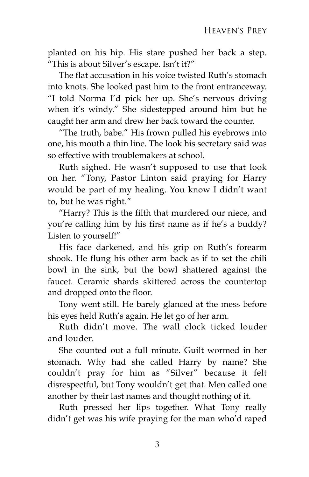planted on his hip. His stare pushed her back a step. "This is about Silver's escape. Isn't it?"

The flat accusation in his voice twisted Ruth's stomach into knots. She looked past him to the front entranceway. "I told Norma I'd pick her up. She's nervous driving when it's windy." She sidestepped around him but he caught her arm and drew her back toward the counter.

"The truth, babe." His frown pulled his eyebrows into one, his mouth a thin line. The look his secretary said was so effective with troublemakers at school.

Ruth sighed. He wasn't supposed to use that look on her. "Tony, Pastor Linton said praying for Harry would be part of my healing. You know I didn't want to, but he was right."

"Harry? This is the filth that murdered our niece, and you're calling him by his first name as if he's a buddy? Listen to yourself!"

His face darkened, and his grip on Ruth's forearm shook. He flung his other arm back as if to set the chili bowl in the sink, but the bowl shattered against the faucet. Ceramic shards skittered across the countertop and dropped onto the floor.

Tony went still. He barely glanced at the mess before his eyes held Ruth's again. He let go of her arm.

Ruth didn't move. The wall clock ticked louder and louder.

She counted out a full minute. Guilt wormed in her stomach. Why had she called Harry by name? She couldn't pray for him as "Silver" because it felt disrespectful, but Tony wouldn't get that. Men called one another by their last names and thought nothing of it.

Ruth pressed her lips together. What Tony really didn't get was his wife praying for the man who'd raped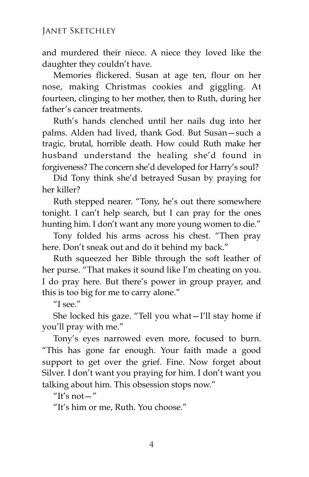and murdered their niece. A niece they loved like the daughter they couldn't have.

Memories flickered. Susan at age ten, flour on her nose, making Christmas cookies and giggling. At fourteen, clinging to her mother, then to Ruth, during her father's cancer treatments.

Ruth's hands clenched until her nails dug into her palms. Alden had lived, thank God. But Susan—such a tragic, brutal, horrible death. How could Ruth make her husband understand the healing she'd found in forgiveness? The concern she'd developed for Harry's soul?

Did Tony think she'd betrayed Susan by praying for her killer?

Ruth stepped nearer. "Tony, he's out there somewhere tonight. I can't help search, but I can pray for the ones hunting him. I don't want any more young women to die."

Tony folded his arms across his chest. "Then pray here. Don't sneak out and do it behind my back."

Ruth squeezed her Bible through the soft leather of her purse. "That makes it sound like I'm cheating on you. I do pray here. But there's power in group prayer, and this is too big for me to carry alone."

 $^{\prime\prime}$ I see."

She locked his gaze. "Tell you what—I'll stay home if you'll pray with me."

Tony's eyes narrowed even more, focused to burn. "This has gone far enough. Your faith made a good support to get over the grief. Fine. Now forget about Silver. I don't want you praying for him. I don't want you talking about him. This obsession stops now."

"It's not  $-$ "

"It's him or me, Ruth. You choose."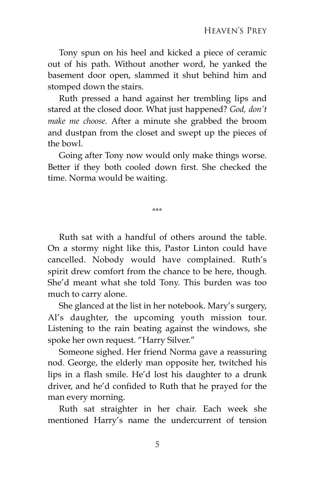Tony spun on his heel and kicked a piece of ceramic out of his path. Without another word, he yanked the basement door open, slammed it shut behind him and stomped down the stairs.

Ruth pressed a hand against her trembling lips and stared at the closed door. What just happened? *God, don't make me choose.* After a minute she grabbed the broom and dustpan from the closet and swept up the pieces of the bowl.

Going after Tony now would only make things worse. Better if they both cooled down first. She checked the time. Norma would be waiting.

\*\*\*

Ruth sat with a handful of others around the table. On a stormy night like this, Pastor Linton could have cancelled. Nobody would have complained. Ruth's spirit drew comfort from the chance to be here, though. She'd meant what she told Tony. This burden was too much to carry alone.

She glanced at the list in her notebook. Mary's surgery, Al's daughter, the upcoming youth mission tour. Listening to the rain beating against the windows, she spoke her own request. "Harry Silver."

Someone sighed. Her friend Norma gave a reassuring nod. George, the elderly man opposite her, twitched his lips in a flash smile. He'd lost his daughter to a drunk driver, and he'd confided to Ruth that he prayed for the man every morning.

Ruth sat straighter in her chair. Each week she mentioned Harry's name the undercurrent of tension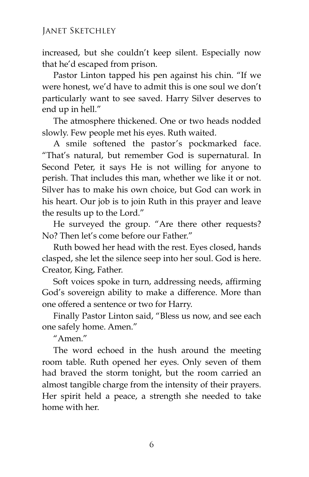increased, but she couldn't keep silent. Especially now that he'd escaped from prison.

Pastor Linton tapped his pen against his chin. "If we were honest, we'd have to admit this is one soul we don't particularly want to see saved. Harry Silver deserves to end up in hell."

The atmosphere thickened. One or two heads nodded slowly. Few people met his eyes. Ruth waited.

A smile softened the pastor's pockmarked face. "That's natural, but remember God is supernatural. In Second Peter, it says He is not willing for anyone to perish. That includes this man, whether we like it or not. Silver has to make his own choice, but God can work in his heart. Our job is to join Ruth in this prayer and leave the results up to the Lord."

He surveyed the group. "Are there other requests? No? Then let's come before our Father."

Ruth bowed her head with the rest. Eyes closed, hands clasped, she let the silence seep into her soul. God is here. Creator, King, Father.

Soft voices spoke in turn, addressing needs, affirming God's sovereign ability to make a difference. More than one offered a sentence or two for Harry.

Finally Pastor Linton said, "Bless us now, and see each one safely home. Amen."

 $^{\prime\prime}$ Amen $^{\prime\prime}$ 

The word echoed in the hush around the meeting room table. Ruth opened her eyes. Only seven of them had braved the storm tonight, but the room carried an almost tangible charge from the intensity of their prayers. Her spirit held a peace, a strength she needed to take home with her.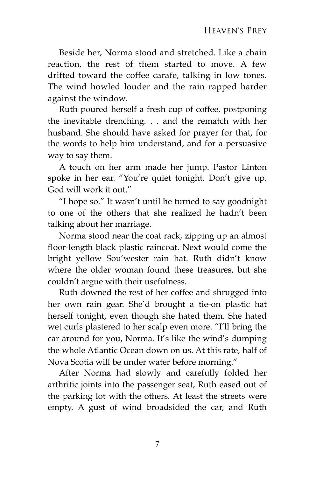Beside her, Norma stood and stretched. Like a chain reaction, the rest of them started to move. A few drifted toward the coffee carafe, talking in low tones. The wind howled louder and the rain rapped harder against the window.

Ruth poured herself a fresh cup of coffee, postponing the inevitable drenching. . . and the rematch with her husband. She should have asked for prayer for that, for the words to help him understand, and for a persuasive way to say them.

A touch on her arm made her jump. Pastor Linton spoke in her ear. "You're quiet tonight. Don't give up. God will work it out."

"I hope so." It wasn't until he turned to say goodnight to one of the others that she realized he hadn't been talking about her marriage.

Norma stood near the coat rack, zipping up an almost floor-length black plastic raincoat. Next would come the bright yellow Sou'wester rain hat. Ruth didn't know where the older woman found these treasures, but she couldn't argue with their usefulness.

Ruth downed the rest of her coffee and shrugged into her own rain gear. She'd brought a tie-on plastic hat herself tonight, even though she hated them. She hated wet curls plastered to her scalp even more. "I'll bring the car around for you, Norma. It's like the wind's dumping the whole Atlantic Ocean down on us. At this rate, half of Nova Scotia will be under water before morning."

After Norma had slowly and carefully folded her arthritic joints into the passenger seat, Ruth eased out of the parking lot with the others. At least the streets were empty. A gust of wind broadsided the car, and Ruth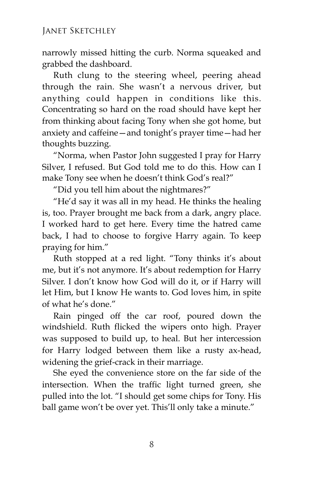narrowly missed hitting the curb. Norma squeaked and grabbed the dashboard.

Ruth clung to the steering wheel, peering ahead through the rain. She wasn't a nervous driver, but anything could happen in conditions like this. Concentrating so hard on the road should have kept her from thinking about facing Tony when she got home, but anxiety and caffeine—and tonight's prayer time—had her thoughts buzzing.

"Norma, when Pastor John suggested I pray for Harry Silver, I refused. But God told me to do this. How can I make Tony see when he doesn't think God's real?"

"Did you tell him about the nightmares?"

"He'd say it was all in my head. He thinks the healing is, too. Prayer brought me back from a dark, angry place. I worked hard to get here. Every time the hatred came back, I had to choose to forgive Harry again. To keep praying for him."

Ruth stopped at a red light. "Tony thinks it's about me, but it's not anymore. It's about redemption for Harry Silver. I don't know how God will do it, or if Harry will let Him, but I know He wants to. God loves him, in spite of what he's done."

Rain pinged off the car roof, poured down the windshield. Ruth flicked the wipers onto high. Prayer was supposed to build up, to heal. But her intercession for Harry lodged between them like a rusty ax-head, widening the grief-crack in their marriage.

She eyed the convenience store on the far side of the intersection. When the traffic light turned green, she pulled into the lot. "I should get some chips for Tony. His ball game won't be over yet. This'll only take a minute."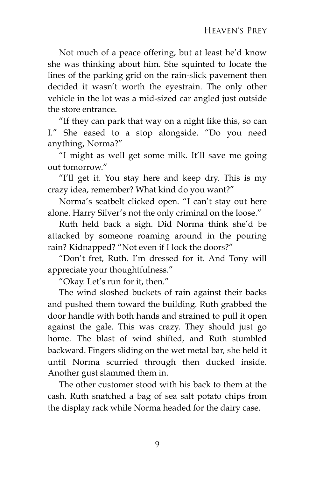Not much of a peace offering, but at least he'd know she was thinking about him. She squinted to locate the lines of the parking grid on the rain-slick pavement then decided it wasn't worth the eyestrain. The only other vehicle in the lot was a mid-sized car angled just outside the store entrance.

"If they can park that way on a night like this, so can I." She eased to a stop alongside. "Do you need anything, Norma?"

"I might as well get some milk. It'll save me going out tomorrow."

"I'll get it. You stay here and keep dry. This is my crazy idea, remember? What kind do you want?"

Norma's seatbelt clicked open. "I can't stay out here alone. Harry Silver's not the only criminal on the loose."

Ruth held back a sigh. Did Norma think she'd be attacked by someone roaming around in the pouring rain? Kidnapped? "Not even if I lock the doors?"

"Don't fret, Ruth. I'm dressed for it. And Tony will appreciate your thoughtfulness."

"Okay. Let's run for it, then."

The wind sloshed buckets of rain against their backs and pushed them toward the building. Ruth grabbed the door handle with both hands and strained to pull it open against the gale. This was crazy. They should just go home. The blast of wind shifted, and Ruth stumbled backward. Fingers sliding on the wet metal bar, she held it until Norma scurried through then ducked inside. Another gust slammed them in.

The other customer stood with his back to them at the cash. Ruth snatched a bag of sea salt potato chips from the display rack while Norma headed for the dairy case.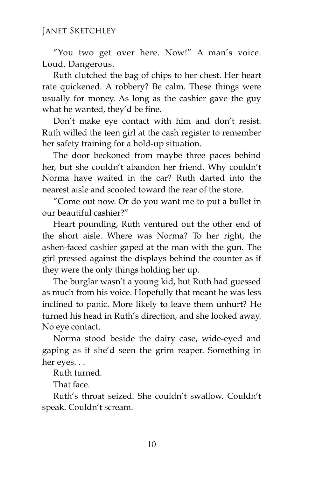"You two get over here. Now!" A man's voice. Loud. Dangerous.

Ruth clutched the bag of chips to her chest. Her heart rate quickened. A robbery? Be calm. These things were usually for money. As long as the cashier gave the guy what he wanted, they'd be fine.

Don't make eye contact with him and don't resist. Ruth willed the teen girl at the cash register to remember her safety training for a hold-up situation.

The door beckoned from maybe three paces behind her, but she couldn't abandon her friend. Why couldn't Norma have waited in the car? Ruth darted into the nearest aisle and scooted toward the rear of the store.

"Come out now. Or do you want me to put a bullet in our beautiful cashier?"

Heart pounding, Ruth ventured out the other end of the short aisle. Where was Norma? To her right, the ashen-faced cashier gaped at the man with the gun. The girl pressed against the displays behind the counter as if they were the only things holding her up.

The burglar wasn't a young kid, but Ruth had guessed as much from his voice. Hopefully that meant he was less inclined to panic. More likely to leave them unhurt? He turned his head in Ruth's direction, and she looked away. No eye contact.

Norma stood beside the dairy case, wide-eyed and gaping as if she'd seen the grim reaper. Something in her eyes. . .

Ruth turned.

That face.

Ruth's throat seized. She couldn't swallow. Couldn't speak. Couldn't scream.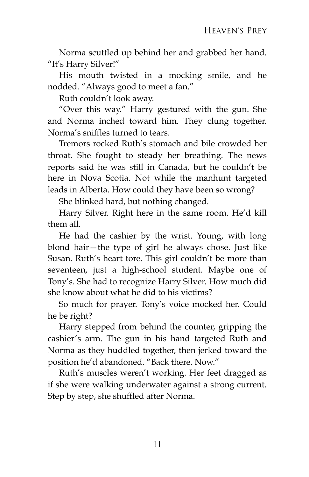Norma scuttled up behind her and grabbed her hand. "It's Harry Silver!"

His mouth twisted in a mocking smile, and he nodded. "Always good to meet a fan."

Ruth couldn't look away.

"Over this way." Harry gestured with the gun. She and Norma inched toward him. They clung together. Norma's sniffles turned to tears.

Tremors rocked Ruth's stomach and bile crowded her throat. She fought to steady her breathing. The news reports said he was still in Canada, but he couldn't be here in Nova Scotia. Not while the manhunt targeted leads in Alberta. How could they have been so wrong?

She blinked hard, but nothing changed.

Harry Silver. Right here in the same room. He'd kill them all.

He had the cashier by the wrist. Young, with long blond hair—the type of girl he always chose. Just like Susan. Ruth's heart tore. This girl couldn't be more than seventeen, just a high-school student. Maybe one of Tony's. She had to recognize Harry Silver. How much did she know about what he did to his victims?

So much for prayer. Tony's voice mocked her. Could he be right?

Harry stepped from behind the counter, gripping the cashier's arm. The gun in his hand targeted Ruth and Norma as they huddled together, then jerked toward the position he'd abandoned. "Back there. Now."

Ruth's muscles weren't working. Her feet dragged as if she were walking underwater against a strong current. Step by step, she shuffled after Norma.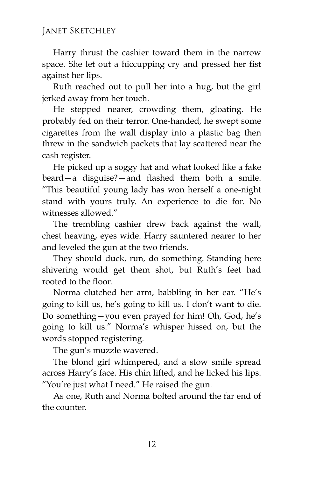## Janet Sketchley

Harry thrust the cashier toward them in the narrow space. She let out a hiccupping cry and pressed her fist against her lips.

Ruth reached out to pull her into a hug, but the girl jerked away from her touch.

He stepped nearer, crowding them, gloating. He probably fed on their terror. One-handed, he swept some cigarettes from the wall display into a plastic bag then threw in the sandwich packets that lay scattered near the cash register.

He picked up a soggy hat and what looked like a fake beard—a disguise?—and flashed them both a smile. "This beautiful young lady has won herself a one-night stand with yours truly. An experience to die for. No witnesses allowed."

The trembling cashier drew back against the wall, chest heaving, eyes wide. Harry sauntered nearer to her and leveled the gun at the two friends.

They should duck, run, do something. Standing here shivering would get them shot, but Ruth's feet had rooted to the floor.

Norma clutched her arm, babbling in her ear. "He's going to kill us, he's going to kill us. I don't want to die. Do something—you even prayed for him! Oh, God, he's going to kill us." Norma's whisper hissed on, but the words stopped registering.

The gun's muzzle wavered.

The blond girl whimpered, and a slow smile spread across Harry's face. His chin lifted, and he licked his lips. "You're just what I need." He raised the gun.

As one, Ruth and Norma bolted around the far end of the counter.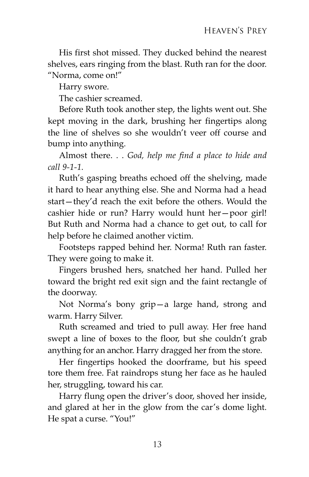His first shot missed. They ducked behind the nearest shelves, ears ringing from the blast. Ruth ran for the door. "Norma, come on!"

Harry swore.

The cashier screamed.

Before Ruth took another step, the lights went out. She kept moving in the dark, brushing her fingertips along the line of shelves so she wouldn't veer off course and bump into anything.

Almost there. . . *God, help me find a place to hide and call 9-1-1.*

Ruth's gasping breaths echoed off the shelving, made it hard to hear anything else. She and Norma had a head start—they'd reach the exit before the others. Would the cashier hide or run? Harry would hunt her—poor girl! But Ruth and Norma had a chance to get out, to call for help before he claimed another victim.

Footsteps rapped behind her. Norma! Ruth ran faster. They were going to make it.

Fingers brushed hers, snatched her hand. Pulled her toward the bright red exit sign and the faint rectangle of the doorway.

Not Norma's bony grip—a large hand, strong and warm. Harry Silver.

Ruth screamed and tried to pull away. Her free hand swept a line of boxes to the floor, but she couldn't grab anything for an anchor. Harry dragged her from the store.

Her fingertips hooked the doorframe, but his speed tore them free. Fat raindrops stung her face as he hauled her, struggling, toward his car.

Harry flung open the driver's door, shoved her inside, and glared at her in the glow from the car's dome light. He spat a curse. "You!"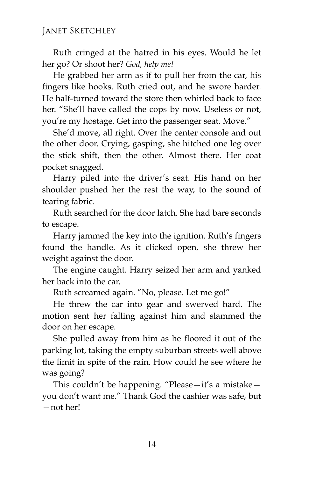Ruth cringed at the hatred in his eyes. Would he let her go? Or shoot her? *God, help me!*

He grabbed her arm as if to pull her from the car, his fingers like hooks. Ruth cried out, and he swore harder. He half-turned toward the store then whirled back to face her. "She'll have called the cops by now. Useless or not, you're my hostage. Get into the passenger seat. Move."

She'd move, all right. Over the center console and out the other door. Crying, gasping, she hitched one leg over the stick shift, then the other. Almost there. Her coat pocket snagged.

Harry piled into the driver's seat. His hand on her shoulder pushed her the rest the way, to the sound of tearing fabric.

Ruth searched for the door latch. She had bare seconds to escape.

Harry jammed the key into the ignition. Ruth's fingers found the handle. As it clicked open, she threw her weight against the door.

The engine caught. Harry seized her arm and yanked her back into the car.

Ruth screamed again. "No, please. Let me go!"

He threw the car into gear and swerved hard. The motion sent her falling against him and slammed the door on her escape.

She pulled away from him as he floored it out of the parking lot, taking the empty suburban streets well above the limit in spite of the rain. How could he see where he was going?

This couldn't be happening. "Please—it's a mistake you don't want me." Thank God the cashier was safe, but —not her!